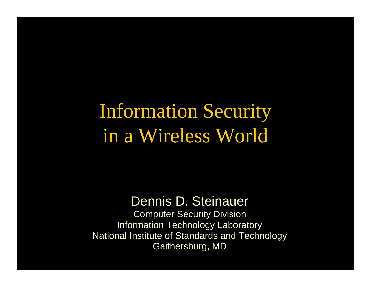Information Security in a Wireless World

#### Dennis D. Steinauer

**Computer Security Division** Information Technology Laboratory National Institute of Standards and Technology Gaithersburg, MD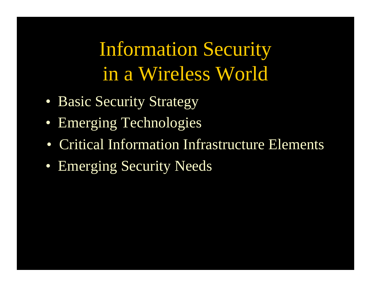Information Security in a Wireless World

- Basic Security Strategy
- Emerging Technologies
- Critical Information Infrastructure Elements
- Emerging Security Needs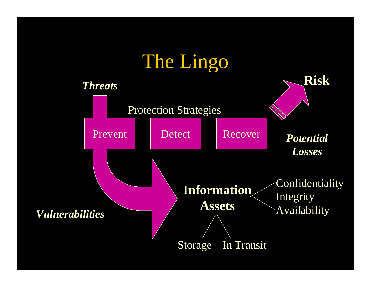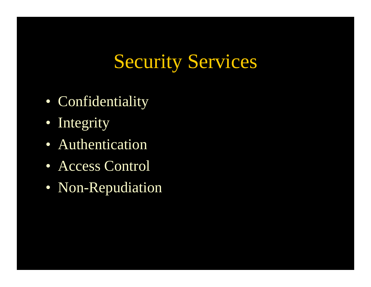# Security Services

- Confidentiality
- Integrity
- Authentication
- Access Control
- Non-Repudiation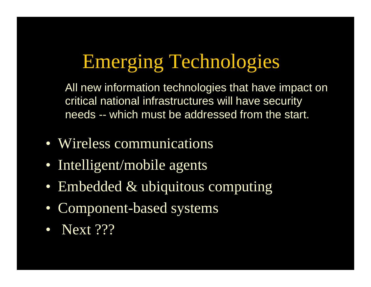# Emerging Technologies

All new information technologies that have impact on critical national infrastructures will have security needs -- which must be addressed from the start.

- Wireless communications
- Intelligent/mobile agents
- Embedded & ubiquitous computing
- Component-based systems
- **Next** ???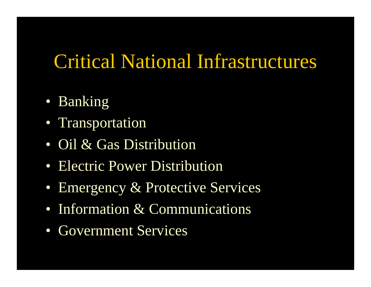## Critical National Infrastructures

- Banking
- Transportation
- Oil & Gas Distribution
- Electric Power Distribution
- Emergency & Protective Services
- Information & Communications
- Government Services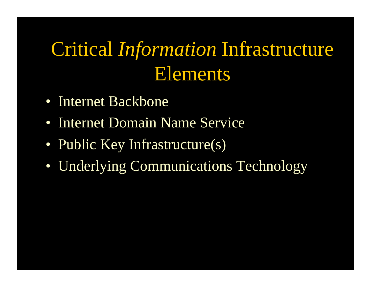# Critical *Information* Infrastructure **Elements**

- Internet Backbone
- Internet Domain Name Service
- Public Key Infrastructure(s)
- Underlying Communications Technology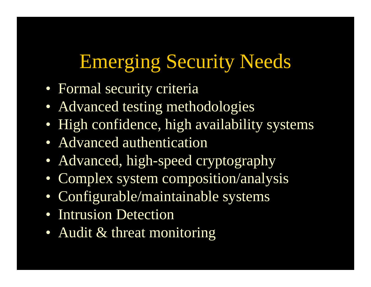# Emerging Security Needs

- Formal security criteria
- Advanced testing methodologies
- High confidence, high availability systems
- Advanced authentication
- Advanced, high-speed cryptography
- Complex system composition/analysis
- Configurable/maintainable systems
- Intrusion Detection
- Audit & threat monitoring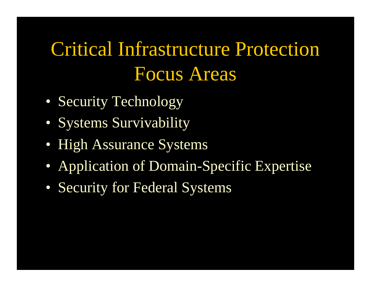# Critical Infrastructure Protection Focus Areas

- Security Technology
- Systems Survivability
- High Assurance Systems
- Application of Domain-Specific Expertise
- Security for Federal Systems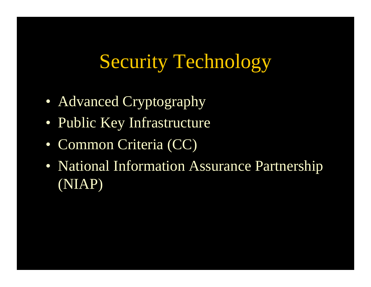## Security Technology

- Advanced Cryptography
- Public Key Infrastructure
- Common Criteria (CC)
- National Information Assurance Partnership (NIAP)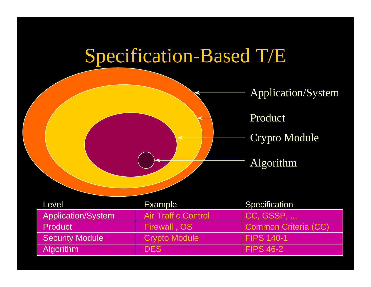



| Level                     | Example                    | <b>Specification</b> |
|---------------------------|----------------------------|----------------------|
| <b>Application/System</b> | <b>Air Traffic Control</b> | CC, GSSP,            |
| <b>Product</b>            | Firewall, OS               | Common Criteria (CC) |
| <b>Security Module</b>    | <b>Crypto Module</b>       | <b>FIPS 140-1</b>    |
| <b>Algorithm</b>          | <b>DES</b>                 | FIPS 46-2            |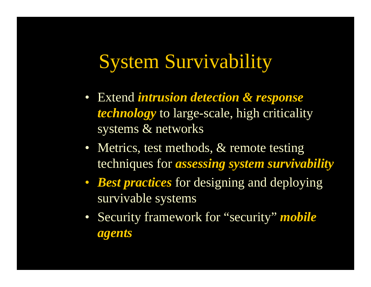### System Survivability

- Extend *intrusion detection & response technology* to large-scale, high criticality systems & networks
- Metrics, test methods, & remote testing techniques for *assessing system survivability*
- *Best practices* for designing and deploying survivable systems
- Security framework for "security" *mobile agents*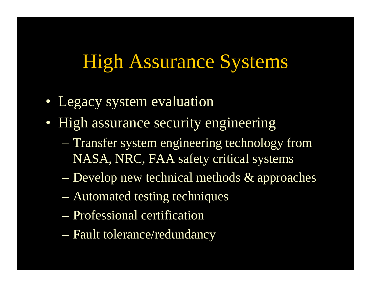## High Assurance Systems

- Legacy system evaluation
- High assurance security engineering
	- Transfer system engineering technology from NASA, NRC, FAA safety critical systems
	- Develop new technical methods & approaches
	- Automated testing techniques
	- Professional certification
	- Fault tolerance/redundancy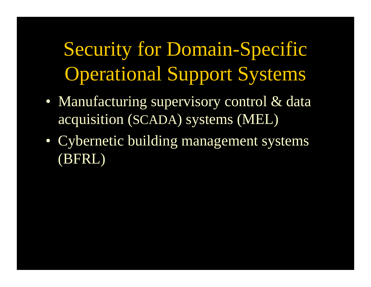Security for Domain-Specific Operational Support Systems

- Manufacturing supervisory control & data acquisition (SCADA) systems (MEL)
- Cybernetic building management systems (BFRL)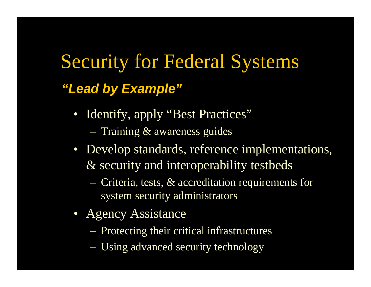# Security for Federal Systems *"Lead by Example"*

- Identify, apply "Best Practices" – Training & awareness guides
- Develop standards, reference implementations, & security and interoperability testbeds
	- Criteria, tests, & accreditation requirements for system security administrators
- Agency Assistance
	- Protecting their critical infrastructures
	- Using advanced security technology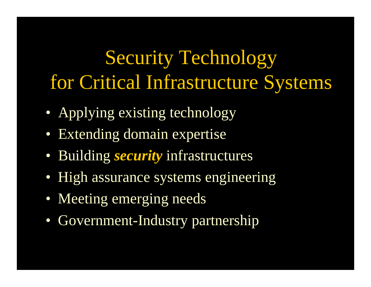# Security Technology for Critical Infrastructure Systems

- Applying existing technology
- Extending domain expertise
- Building *security* infrastructures
- High assurance systems engineering
- Meeting emerging needs
- Government-Industry partnership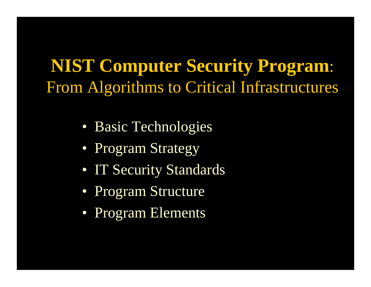### **NIST Computer Security Program**: From Algorithms to Critical Infrastructures

- Basic Technologies
- Program Strategy
- IT Security Standards
- Program Structure
- Program Elements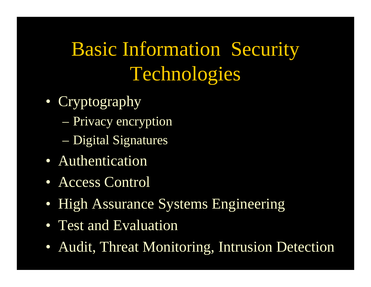# Basic Information Security **Technologies**

- Cryptography
	- Privacy encryption
	- Digital Signatures
- Authentication
- Access Control
- High Assurance Systems Engineering
- Test and Evaluation
- Audit, Threat Monitoring, Intrusion Detection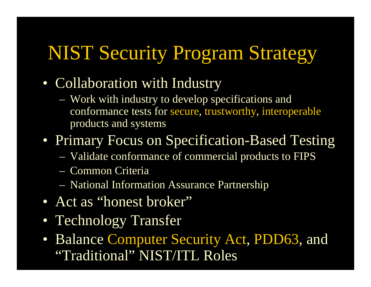# NIST Security Program Strategy

- Collaboration with Industry
	- Work with industry to develop specifications and conformance tests for secure, trustworthy, interoperable products and systems

#### • Primary Focus on Specification-Based Testing

- Validate conformance of commercial products to FIPS
- Common Criteria
- National Information Assurance Partnership
- Act as "honest broker"
- Technology Transfer
- Balance Computer Security Act, PDD63, and "Traditional" NIST/ITL Roles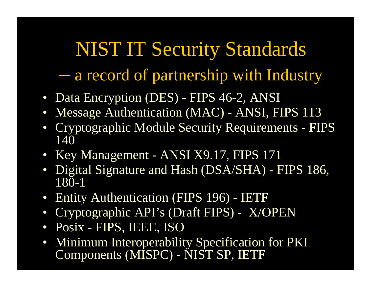## NIST IT Security Standards

– a record of partnership with Industry

- Data Encryption (DES) FIPS 46-2, ANSI
- Message Authentication (MAC) ANSI, FIPS 113
- Cryptographic Module Security Requirements FIPS 140
- Key Management ANSI X9.17, FIPS 171
- Digital Signature and Hash (DSA/SHA) FIPS 186, 180-1
- Entity Authentication (FIPS 196) IETF
- Cryptographic API's (Draft FIPS) X/OPEN
- Posix FIPS, IEEE, ISO
- Minimum Interoperability Specification for PKI Components (MISPC) - NIST SP, IETF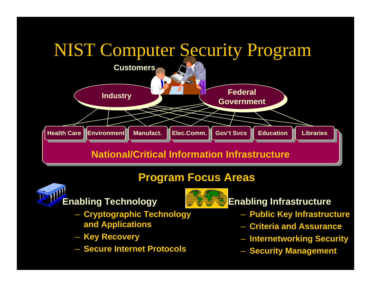

#### **National/Critical Information Infrastructure**

#### **Program Focus Areas**



#### **Enabling Technology**

- **Cryptographic Technology and Applications**
- **Key Recovery**
- **Secure Internet Protocols**



#### **Enabling Infrastructure**

- **Public Key Infrastructure**
- **Criteria and Assurance**
- **Internetworking Security**
- **Security Management**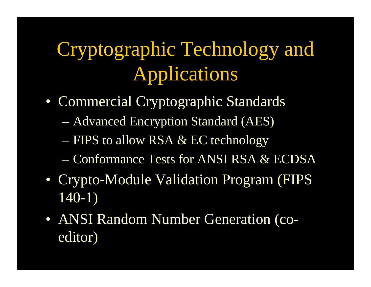# Cryptographic Technology and Applications

- Commercial Cryptographic Standards
	- Advanced Encryption Standard (AES)
	- FIPS to allow RSA & EC technology
	- Conformance Tests for ANSI RSA & ECDSA
- Crypto-Module Validation Program (FIPS 140-1)
- ANSI Random Number Generation (coeditor)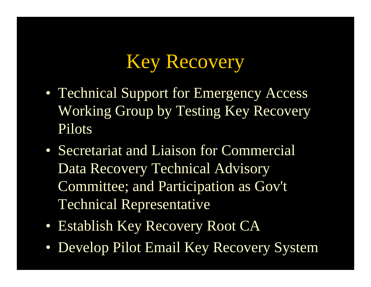## Key Recovery

- Technical Support for Emergency Access Working Group by Testing Key Recovery Pilots
- Secretariat and Liaison for Commercial Data Recovery Technical Advisory Committee; and Participation as Gov't Technical Representative
- Establish Key Recovery Root CA
- Develop Pilot Email Key Recovery System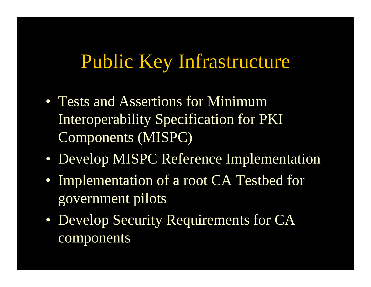### Public Key Infrastructure

- Tests and Assertions for Minimum Interoperability Specification for PKI Components (MISPC)
- Develop MISPC Reference Implementation
- Implementation of a root CA Testbed for government pilots
- Develop Security Requirements for CA components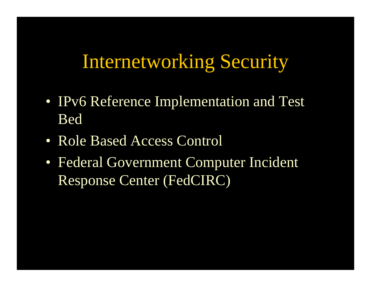## Internetworking Security

- IPv6 Reference Implementation and Test Bed
- Role Based Access Control
- Federal Government Computer Incident Response Center (FedCIRC)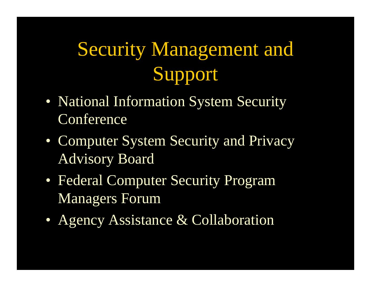# Security Management and Support

- National Information System Security Conference
- Computer System Security and Privacy Advisory Board
- Federal Computer Security Program Managers Forum
- Agency Assistance & Collaboration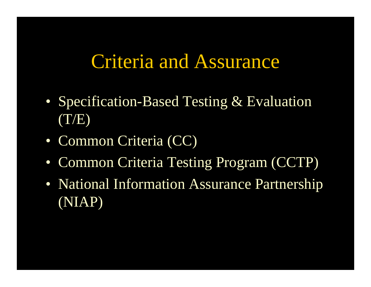### Criteria and Assurance

- Specification-Based Testing & Evaluation  $(T/E)$
- Common Criteria (CC)
- Common Criteria Testing Program (CCTP)
- National Information Assurance Partnership (NIAP)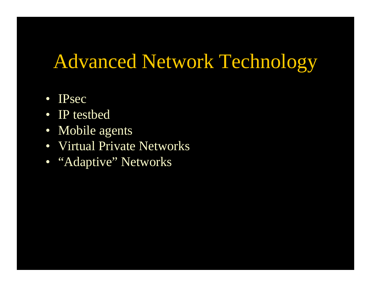## Advanced Network Technology

- IPsec
- IP testbed
- Mobile agents
- Virtual Private Networks
- "Adaptive" Networks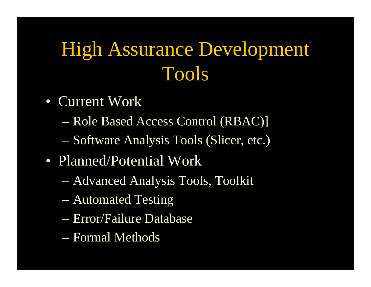# High Assurance Development Tools

- Current Work
	- Role Based Access Control (RBAC)]
	- Software Analysis Tools (Slicer, etc.)
- Planned/Potential Work
	- Advanced Analysis Tools, Toolkit
	- Automated Testing
	- Error/Failure Database
	- Formal Methods